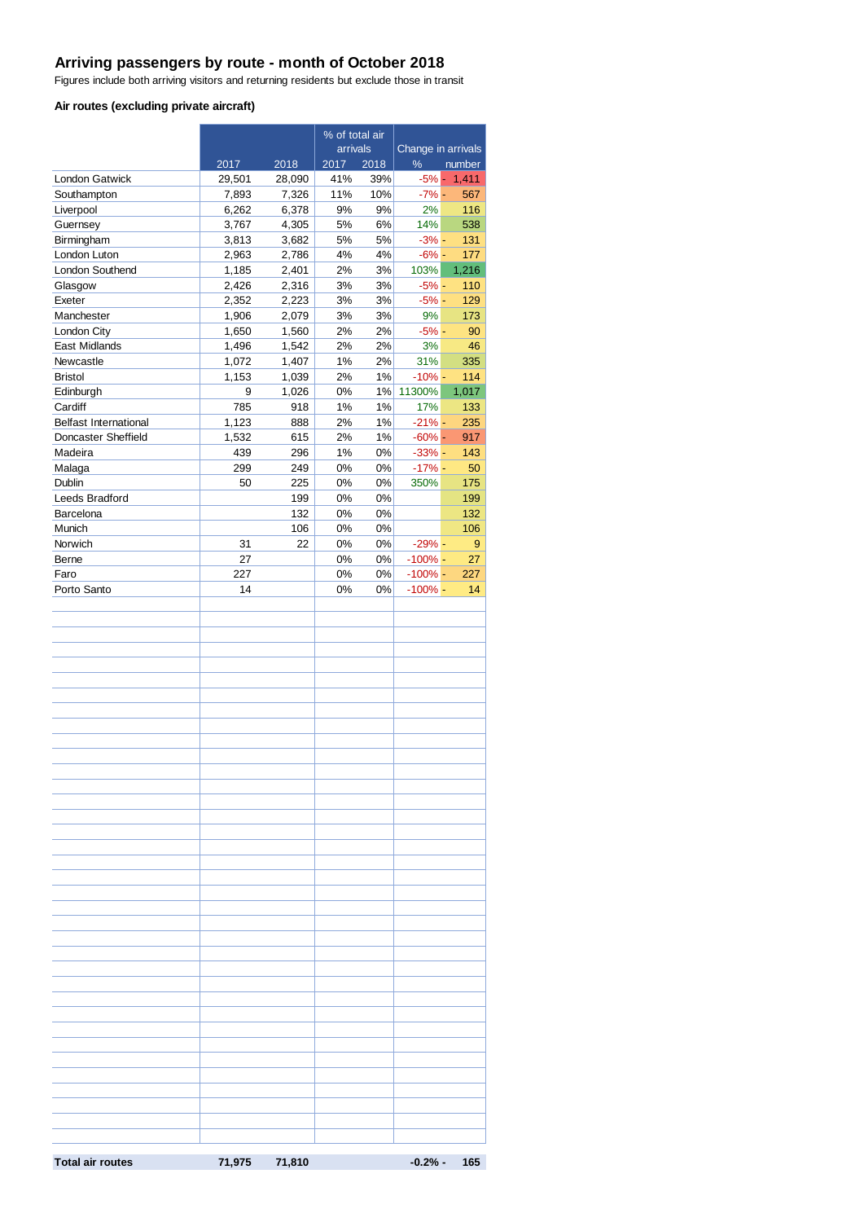## **Arriving passengers by route - month of October 2018**

Figures include both arriving visitors and returning residents but exclude those in transit

#### **Air routes (excluding private aircraft)**

|                                                     |                |                | % of total air |           |                      |                |  |
|-----------------------------------------------------|----------------|----------------|----------------|-----------|----------------------|----------------|--|
|                                                     |                |                | arrivals       |           | Change in arrivals   |                |  |
|                                                     | 2017           | 2018           | 2017           | 2018      | $\%$                 | number         |  |
| <b>London Gatwick</b>                               | 29,501         | 28,090         | 41%<br>11%     | 39%       | $-7%$ -              | $-5\% - 1,411$ |  |
| Southampton<br>Liverpool                            | 7,893<br>6,262 | 7,326<br>6,378 | 9%             | 10%<br>9% | 2%                   | 567<br>116     |  |
| Guernsey                                            | 3,767          | 4,305          | 5%             | 6%        | 14%                  | 538            |  |
| Birmingham                                          | 3,813          | 3,682          | 5%             | 5%        | $-3% -$              | 131            |  |
| London Luton                                        | 2,963          | 2,786          | 4%             | 4%        | $-6% -$              | 177            |  |
| London Southend                                     | 1,185          | 2,401          | 2%             | 3%        | 103%                 | 1,216          |  |
| Glasgow                                             | 2,426          | 2,316          | 3%             | 3%        | $-5%$ -              | 110            |  |
| Exeter                                              | 2,352          | 2,223          | 3%             | 3%        | $-5% -$              | 129            |  |
| Manchester                                          | 1,906          | 2,079          | 3%             | 3%        | 9%                   | 173            |  |
| London City                                         | 1,650          | 1,560          | 2%             | 2%        | $-5% -$              | 90             |  |
| East Midlands                                       | 1,496          | 1,542          | 2%             | 2%        | 3%                   | 46             |  |
| Newcastle                                           | 1,072          | 1,407          | 1%             | 2%        | 31%                  | 335            |  |
| <b>Bristol</b>                                      | 1,153          | 1,039          | 2%             | 1%        | $-10% -$             | 114            |  |
| Edinburgh                                           | 9              | 1,026          | 0%             | 1%        | 11300%               | 1,017          |  |
| Cardiff                                             | 785            | 918            | 1%             | 1%        | 17%                  | 133            |  |
| <b>Belfast International</b><br>Doncaster Sheffield | 1,123<br>1,532 | 888            | 2%<br>2%       | 1%<br>1%  | $-21% -$<br>$-60%$ - | 235<br>917     |  |
| Madeira                                             | 439            | 615<br>296     | 1%             | 0%        | $-33% -$             | 143            |  |
| Malaga                                              | 299            | 249            | 0%             | 0%        | $-17%$ -             | 50             |  |
| <b>Dublin</b>                                       | 50             | 225            | 0%             | 0%        | 350%                 | 175            |  |
| Leeds Bradford                                      |                | 199            | 0%             | 0%        |                      | 199            |  |
| Barcelona                                           |                | 132            | 0%             | 0%        |                      | 132            |  |
| Munich                                              |                | 106            | 0%             | 0%        |                      | 106            |  |
| Norwich                                             | 31             | 22             | 0%             | 0%        | $-29% -$             | 9              |  |
| Berne                                               | 27             |                | 0%             | 0%        | $-100\%$ -           | 27             |  |
| Faro                                                | 227            |                | 0%             | 0%        | $-100\%$ -           | 227            |  |
| Porto Santo                                         | 14             |                | 0%             | 0%        | $-100\%$ -           | 14             |  |
|                                                     |                |                |                |           |                      |                |  |
|                                                     |                |                |                |           |                      |                |  |
|                                                     |                |                |                |           |                      |                |  |
|                                                     |                |                |                |           |                      |                |  |
|                                                     |                |                |                |           |                      |                |  |
|                                                     |                |                |                |           |                      |                |  |
|                                                     |                |                |                |           |                      |                |  |
|                                                     |                |                |                |           |                      |                |  |
|                                                     |                |                |                |           |                      |                |  |
|                                                     |                |                |                |           |                      |                |  |
|                                                     |                |                |                |           |                      |                |  |
|                                                     |                |                |                |           |                      |                |  |
|                                                     |                |                |                |           |                      |                |  |
|                                                     |                |                |                |           |                      |                |  |
|                                                     |                |                |                |           |                      |                |  |
|                                                     |                |                |                |           |                      |                |  |
|                                                     |                |                |                |           |                      |                |  |
|                                                     |                |                |                |           |                      |                |  |
|                                                     |                |                |                |           |                      |                |  |
|                                                     |                |                |                |           |                      |                |  |
|                                                     |                |                |                |           |                      |                |  |
|                                                     |                |                |                |           |                      |                |  |
|                                                     |                |                |                |           |                      |                |  |
|                                                     |                |                |                |           |                      |                |  |
|                                                     |                |                |                |           |                      |                |  |
|                                                     |                |                |                |           |                      |                |  |
|                                                     |                |                |                |           |                      |                |  |
|                                                     |                |                |                |           |                      |                |  |
|                                                     |                |                |                |           |                      |                |  |
|                                                     |                |                |                |           |                      |                |  |
|                                                     |                |                |                |           |                      |                |  |
|                                                     |                |                |                |           |                      |                |  |
|                                                     |                |                |                |           |                      |                |  |
|                                                     |                |                |                |           |                      |                |  |
| <b>Total air routes</b>                             | 71,975 71,810  |                |                |           |                      | $-0.2% - 165$  |  |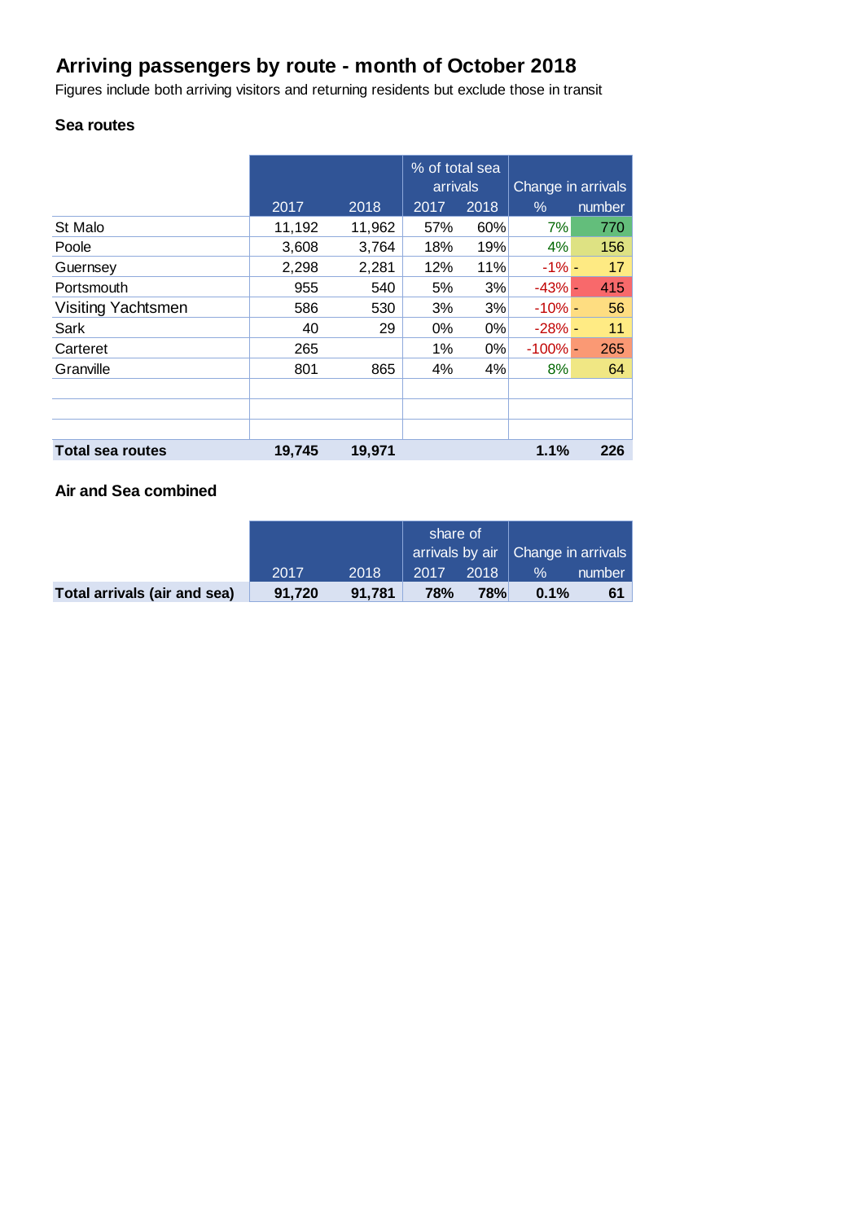## **Arriving passengers by route - month of October 2018**

Figures include both arriving visitors and returning residents but exclude those in transit

## **Sea routes**

|                         |        |        | % of total sea<br>arrivals |      | Change in arrivals |        |  |
|-------------------------|--------|--------|----------------------------|------|--------------------|--------|--|
|                         | 2017   | 2018   | 2017                       | 2018 | %                  | number |  |
| St Malo                 | 11,192 | 11,962 | 57%                        | 60%  | 7%                 | 770    |  |
| Poole                   | 3,608  | 3,764  | 18%                        | 19%  | 4%                 | 156    |  |
| Guernsey                | 2,298  | 2,281  | 12%                        | 11%  | $-1\%$ -           | 17     |  |
| Portsmouth              | 955    | 540    | 5%                         | 3%   | $-43%$ -           | 415    |  |
| Visiting Yachtsmen      | 586    | 530    | 3%                         | 3%   | $-10% -$           | 56     |  |
| Sark                    | 40     | 29     | 0%                         | 0%   | $-28%$ -           | 11     |  |
| Carteret                | 265    |        | 1%                         | 0%   | $-100\%$ -         | 265    |  |
| Granville               | 801    | 865    | 4%                         | 4%   | 8%                 | 64     |  |
|                         |        |        |                            |      |                    |        |  |
|                         |        |        |                            |      |                    |        |  |
|                         |        |        |                            |      |                    |        |  |
| <b>Total sea routes</b> | 19,745 | 19,971 |                            |      | 1.1%               | 226    |  |

### **Air and Sea combined**

|                              |        |        | share of<br>arrivals by air   Change in arrivals |            |      |        |
|------------------------------|--------|--------|--------------------------------------------------|------------|------|--------|
|                              | 2017   | 2018   | 2017                                             | 2018       | $\%$ | number |
| Total arrivals (air and sea) | 91.720 | 91.781 | <b>78%</b>                                       | <b>78%</b> | 0.1% | 61     |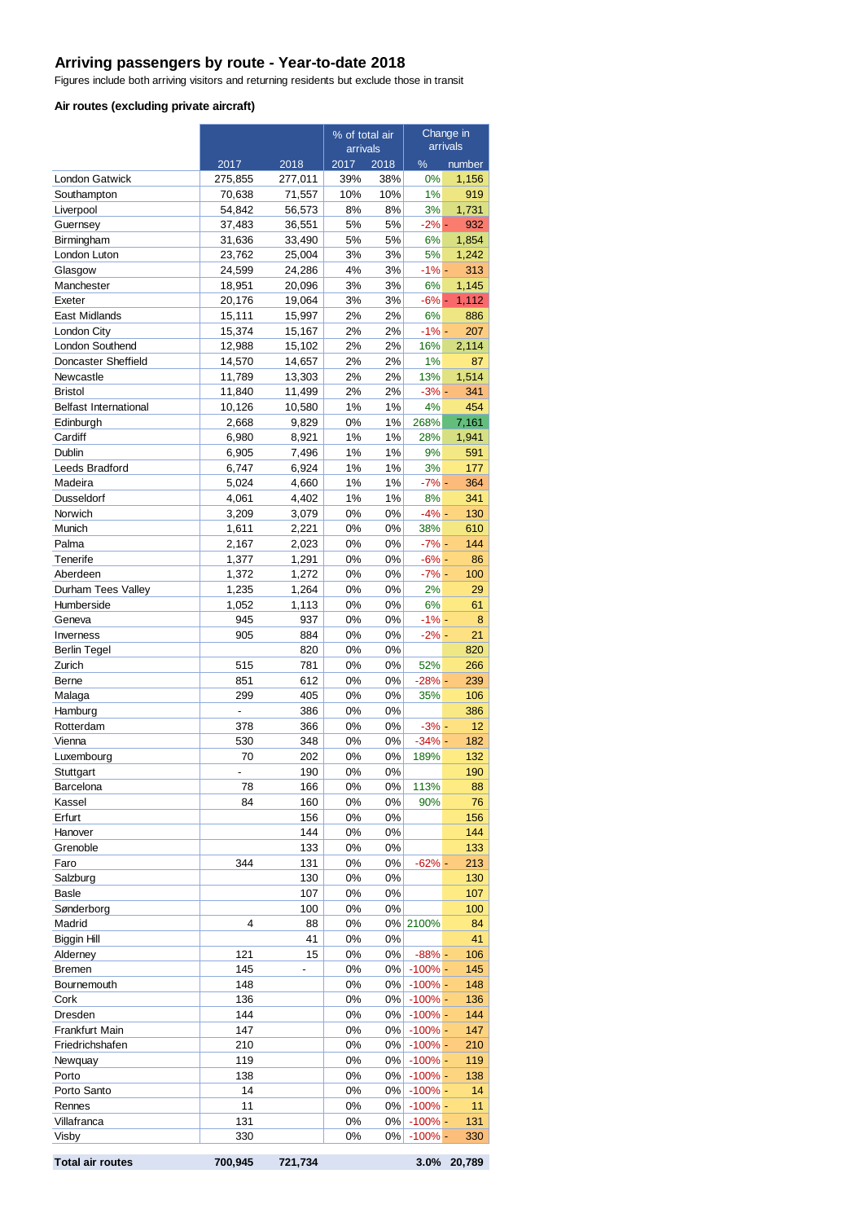#### **Arriving passengers by route - Year-to-date 2018**

Figures include both arriving visitors and returning residents but exclude those in transit

#### **Air routes (excluding private aircraft)**

|                              |                  |                  | % of total air |            | Change in           |              |
|------------------------------|------------------|------------------|----------------|------------|---------------------|--------------|
|                              |                  |                  | arrivals       |            | arrivals            |              |
|                              | 2017             | 2018             | 2017           | 2018       | $\frac{9}{6}$       | number       |
| London Gatwick               | 275,855          | 277,011          | 39%<br>10%     | 38%<br>10% | 0%<br>1%            | 1,156<br>919 |
| Southampton<br>Liverpool     | 70,638<br>54,842 | 71,557<br>56,573 | 8%             | 8%         | 3%                  | 1,731        |
| Guernsey                     | 37,483           | 36,551           | 5%             | 5%         | $-2\%$ -            | 932          |
| Birmingham                   | 31,636           | 33,490           | 5%             | 5%         | 6%                  | 1,854        |
| London Luton                 | 23,762           | 25,004           | 3%             | 3%         | 5%                  | 1,242        |
| Glasgow                      | 24,599           | 24,286           | 4%             | 3%         | $-1\% -$            | 313          |
| Manchester                   | 18,951           | 20,096           | 3%             | 3%         | 6%                  | 1,145        |
| Exeter                       | 20,176           | 19,064           | 3%             | 3%         | $-6%$ -             | 1,112        |
| East Midlands                | 15,111           | 15,997           | 2%             | 2%         | 6%                  | 886          |
| London City                  | 15,374           | 15,167           | 2%             | 2%         | $-1% -$             | 207          |
| London Southend              | 12,988           | 15,102           | 2%             | 2%         | 16%                 | 2,114        |
| Doncaster Sheffield          | 14,570           | 14,657           | 2%             | 2%         | 1%                  | 87           |
| Newcastle                    | 11,789           | 13,303           | 2%             | 2%         | 13%                 | 1,514        |
| <b>Bristol</b>               | 11,840           | 11,499           | 2%             | 2%         | $-3% -$             | 341          |
| <b>Belfast International</b> | 10,126           | 10,580           | 1%             | 1%         | 4%                  | 454          |
| Edinburgh                    | 2,668            | 9,829            | 0%             | 1%         | 268%                | 7,161        |
| Cardiff                      | 6,980            | 8,921            | 1%             | 1%         | 28%                 | 1,941        |
| Dublin                       | 6,905            | 7,496            | 1%             | 1%         | 9%                  | 591          |
| Leeds Bradford               | 6,747            | 6,924            | 1%             | 1%         | 3%                  | 177          |
| Madeira                      | 5,024            | 4,660            | 1%             | 1%         | $-7% -$             | 364          |
| Dusseldorf                   | 4,061            | 4,402            | 1%             | 1%         | 8%                  | 341          |
| Norwich                      | 3,209            | 3,079            | 0%             | 0%         | $-4% -$             | 130          |
| Munich                       | 1,611            | 2,221            | 0%             | 0%         | 38%                 | 610          |
| Palma                        | 2,167            | 2,023            | 0%<br>0%       | 0%         | $-7\%$ -            | 144          |
| Tenerife<br>Aberdeen         | 1,377<br>1,372   | 1,291<br>1,272   | 0%             | 0%<br>0%   | $-6% -$<br>$-7\%$ - | 86<br>100    |
| Durham Tees Valley           | 1,235            | 1,264            | 0%             | 0%         | 2%                  | 29           |
| Humberside                   | 1,052            | 1,113            | 0%             | 0%         | 6%                  | 61           |
| Geneva                       | 945              | 937              | 0%             | 0%         | $-1%$ -             | 8            |
| Inverness                    | 905              | 884              | 0%             | 0%         | $-2%$ -             | 21           |
| Berlin Tegel                 |                  | 820              | 0%             | 0%         |                     | 820          |
| Zurich                       | 515              | 781              | 0%             | 0%         | 52%                 | 266          |
| Berne                        | 851              | 612              | 0%             | 0%         | $-28% -$            | 239          |
| Malaga                       | 299              | 405              | 0%             | 0%         | 35%                 | 106          |
| Hamburg                      |                  | 386              | 0%             | 0%         |                     | 386          |
| Rotterdam                    | 378              | 366              | 0%             | 0%         | $-3% -$             | 12           |
| Vienna                       | 530              | 348              | 0%             | 0%         | $-34%$ -            | 182          |
| Luxembourg                   | 70               | 202              | 0%             | 0%         | 189%                | 132          |
| Stuttgart                    | $\overline{a}$   | 190              | 0%             | 0%         |                     | 190          |
| Barcelona                    | 78               | 166              | 0%             | 0%         | 113%                | 88           |
| Kassel                       | 84               | 160              | 0%             | 0%         | 90%                 | 76           |
| Erfurt                       |                  | 156              | 0%             | 0%         |                     | 156          |
| Hanover                      |                  | 144              | $0\%$          | 0%         |                     | 144          |
| Grenoble                     |                  | 133              | 0%             | 0%         |                     | 133          |
| Faro                         | 344              | 131              | 0%             | 0%         | $-62% -$            | 213          |
| Salzburg<br><b>Basle</b>     |                  | 130<br>107       | 0%<br>$0\%$    | 0%<br>0%   |                     | 130<br>107   |
| Sønderborg                   |                  | 100              | 0%             | 0%         |                     | 100          |
| Madrid                       | 4                | 88               | 0%             |            | 0% 2100%            | 84           |
| Biggin Hill                  |                  | 41               | 0%             | 0%         |                     | 41           |
| Alderney                     | 121              | 15               | 0%             | 0%         | $-88%$ -            | 106          |
| <b>Bremen</b>                | 145              |                  | 0%             | 0%         | $-100\%$ -          | 145          |
| Bournemouth                  | 148              |                  | 0%             | $0\%$      | $-100\%$ -          | 148          |
| Cork                         | 136              |                  | 0%             | 0%         | $-100\%$ -          | 136          |
| Dresden                      | 144              |                  | 0%             | 0%         | $-100\%$ -          | 144          |
| Frankfurt Main               | 147              |                  | 0%             | 0%         | $-100\%$ -          | 147          |
| Friedrichshafen              | 210              |                  | 0%             | $0\%$      | $-100\%$ -          | 210          |
| Newquay                      | 119              |                  | 0%             | $0\%$      | $-100\%$ -          | 119          |
| Porto                        | 138              |                  | 0%             | 0%         | $-100\%$ -          | 138          |
| Porto Santo                  | 14               |                  | 0%             | 0%         | $-100\%$ -          | 14           |
| Rennes                       | 11               |                  | 0%             | 0%         | $-100\%$ -          | 11           |
| Villafranca                  | 131              |                  | 0%             | 0%         | $-100\%$ -          | 131          |
| Visby                        | 330              |                  | 0%             | 0%         | $-100\%$ -          | 330          |
| <b>Total air routes</b>      | 700,945          | 721,734          |                |            | 3.0%                | 20,789       |

|  | <b>Total air routes</b> |
|--|-------------------------|
|  |                         |